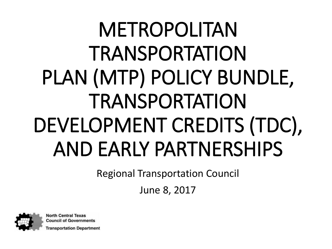# METROPOLITAN **TRANSPORTATION** PLAN (MTP) POLICY BUNDLE, TRANSPORTATION DEVELOPMENT CREDITS (TDC), AND EARLY PARTNERSHIPS

Regional Transportation Council

June 8, 2017



**North Central Texas Council of Governments** 

ansportation Department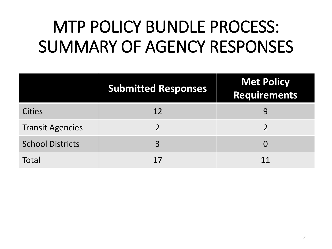### MTP POLICY BUNDLE PROCESS: SUMMARY OF AGENCY RESPONSES

|                         | <b>Submitted Responses</b> | <b>Met Policy</b><br>Requirements |
|-------------------------|----------------------------|-----------------------------------|
| <b>Cities</b>           | 12                         |                                   |
| <b>Transit Agencies</b> |                            |                                   |
| <b>School Districts</b> | 3                          | $\Omega$                          |
| Total                   |                            | 11                                |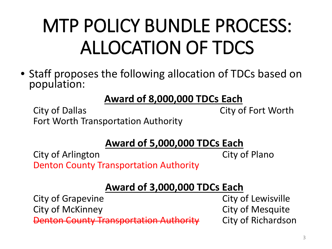## MTP POLICY BUNDLE PROCESS: ALLOCATION OF TDCS

• Staff proposes the following allocation of TDCs based on population:

### **Award of 8,000,000 TDCs Each**

City of Dallas City of Fort Worth Fort Worth Transportation Authority

### **Award of 5,000,000 TDCs Each**

City of Arlington City of Plano Denton County Transportation Authority

### **Award of 3,000,000 TDCs Each**

**Denton County Transportation Authority City of Richardson** 

City of Grapevine **City of Lewisville** City of McKinney **City of Mesquite**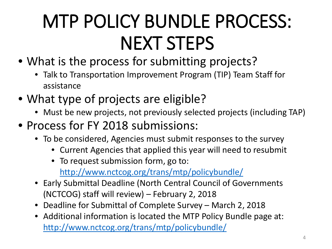## MTP POLICY BUNDLE PROCESS: NEXT STEPS

- What is the process for submitting projects?
	- Talk to Transportation Improvement Program (TIP) Team Staff for assistance
- What type of projects are eligible?
	- Must be new projects, not previously selected projects (including TAP)
- Process for FY 2018 submissions:
	- To be considered, Agencies must submit responses to the survey
		- Current Agencies that applied this year will need to resubmit
		- To request submission form, go to: <http://www.nctcog.org/trans/mtp/policybundle/>
	- Early Submittal Deadline (North Central Council of Governments (NCTCOG) staff will review) – February 2, 2018
	- Deadline for Submittal of Complete Survey March 2, 2018
	- Additional information is located the MTP Policy Bundle page at: <http://www.nctcog.org/trans/mtp/policybundle/>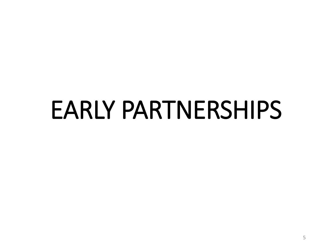# EARLY PARTNERSHIPS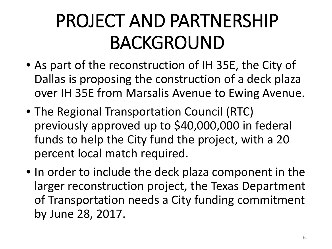## PROJECT AND PARTNERSHIP BACKGROUND

- As part of the reconstruction of IH 35E, the City of Dallas is proposing the construction of a deck plaza over IH 35E from Marsalis Avenue to Ewing Avenue.
- The Regional Transportation Council (RTC) previously approved up to \$40,000,000 in federal funds to help the City fund the project, with a 20 percent local match required.
- In order to include the deck plaza component in the larger reconstruction project, the Texas Department of Transportation needs a City funding commitment by June 28, 2017.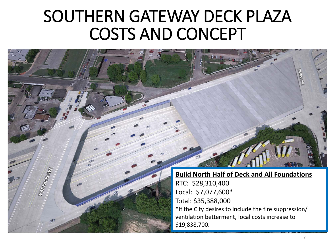### SOUTHERN GATEWAY DECK PLAZA COSTS AND CONCEPT

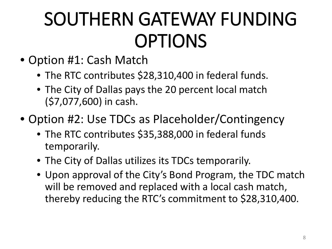## SOUTHERN GATEWAY FUNDING OPTIONS

- Option #1: Cash Match
	- The RTC contributes \$28,310,400 in federal funds.
	- The City of Dallas pays the 20 percent local match (\$7,077,600) in cash.
- Option #2: Use TDCs as Placeholder/Contingency
	- The RTC contributes \$35,388,000 in federal funds temporarily.
	- The City of Dallas utilizes its TDCs temporarily.
	- Upon approval of the City's Bond Program, the TDC match will be removed and replaced with a local cash match, thereby reducing the RTC's commitment to \$28,310,400.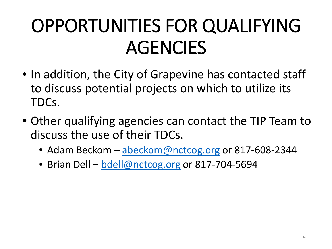## OPPORTUNITIES FOR QUALIFYING AGENCIES

- In addition, the City of Grapevine has contacted staff to discuss potential projects on which to utilize its TDCs.
- Other qualifying agencies can contact the TIP Team to discuss the use of their TDCs.
	- Adam Beckom [abeckom@nctcog.org](mailto:abeckom@nctcog.org) or 817-608-2344
	- Brian Dell [bdell@nctcog.org](mailto:bdell@nctcog.org) or 817-704-5694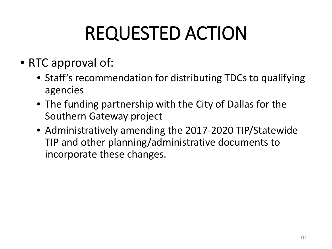# REQUESTED ACTION

### • RTC approval of:

- Staff's recommendation for distributing TDCs to qualifying agencies
- The funding partnership with the City of Dallas for the Southern Gateway project
- Administratively amending the 2017-2020 TIP/Statewide TIP and other planning/administrative documents to incorporate these changes.